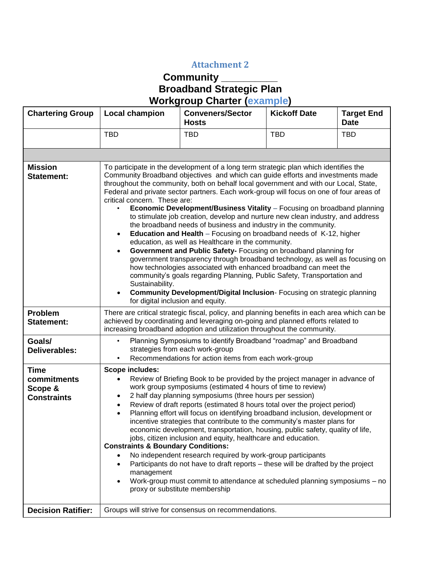## **Attachment 2**

## **Community \_\_\_\_\_\_\_\_\_\_ Broadband Strategic Plan Workgroup Charter (example)**

| <b>Chartering Group</b>                                     | <b>Local champion</b>                                                                                                                                                                                                                                                                                                                                                                                                                                                                                                                                                                                                                                                                                                                                                                                                                                                                                                                                                                                                                                                                                                                                                                                                                    | <b>Conveners/Sector</b><br><b>Hosts</b> | <b>Kickoff Date</b> | <b>Target End</b><br><b>Date</b> |  |
|-------------------------------------------------------------|------------------------------------------------------------------------------------------------------------------------------------------------------------------------------------------------------------------------------------------------------------------------------------------------------------------------------------------------------------------------------------------------------------------------------------------------------------------------------------------------------------------------------------------------------------------------------------------------------------------------------------------------------------------------------------------------------------------------------------------------------------------------------------------------------------------------------------------------------------------------------------------------------------------------------------------------------------------------------------------------------------------------------------------------------------------------------------------------------------------------------------------------------------------------------------------------------------------------------------------|-----------------------------------------|---------------------|----------------------------------|--|
|                                                             | <b>TBD</b>                                                                                                                                                                                                                                                                                                                                                                                                                                                                                                                                                                                                                                                                                                                                                                                                                                                                                                                                                                                                                                                                                                                                                                                                                               | <b>TBD</b>                              | <b>TBD</b>          | <b>TBD</b>                       |  |
|                                                             |                                                                                                                                                                                                                                                                                                                                                                                                                                                                                                                                                                                                                                                                                                                                                                                                                                                                                                                                                                                                                                                                                                                                                                                                                                          |                                         |                     |                                  |  |
| <b>Mission</b><br><b>Statement:</b>                         | To participate in the development of a long term strategic plan which identifies the<br>Community Broadband objectives and which can guide efforts and investments made<br>throughout the community, both on behalf local government and with our Local, State,<br>Federal and private sector partners. Each work-group will focus on one of four areas of<br>critical concern. These are:<br>Economic Development/Business Vitality - Focusing on broadband planning<br>to stimulate job creation, develop and nurture new clean industry, and address<br>the broadband needs of business and industry in the community.<br>Education and Health - Focusing on broadband needs of K-12, higher<br>$\bullet$<br>education, as well as Healthcare in the community.<br>Government and Public Safety- Focusing on broadband planning for<br>$\bullet$<br>government transparency through broadband technology, as well as focusing on<br>how technologies associated with enhanced broadband can meet the<br>community's goals regarding Planning, Public Safety, Transportation and<br>Sustainability.<br><b>Community Development/Digital Inclusion-Focusing on strategic planning</b><br>$\bullet$<br>for digital inclusion and equity. |                                         |                     |                                  |  |
| <b>Problem</b><br><b>Statement:</b>                         | There are critical strategic fiscal, policy, and planning benefits in each area which can be<br>achieved by coordinating and leveraging on-going and planned efforts related to<br>increasing broadband adoption and utilization throughout the community.                                                                                                                                                                                                                                                                                                                                                                                                                                                                                                                                                                                                                                                                                                                                                                                                                                                                                                                                                                               |                                         |                     |                                  |  |
| Goals/<br>Deliverables:                                     | Planning Symposiums to identify Broadband "roadmap" and Broadband<br>$\bullet$<br>strategies from each work-group<br>Recommendations for action items from each work-group<br>$\bullet$                                                                                                                                                                                                                                                                                                                                                                                                                                                                                                                                                                                                                                                                                                                                                                                                                                                                                                                                                                                                                                                  |                                         |                     |                                  |  |
| <b>Time</b><br>commitments<br>Scope &<br><b>Constraints</b> | Scope includes:<br>Review of Briefing Book to be provided by the project manager in advance of<br>$\bullet$<br>work group symposiums (estimated 4 hours of time to review)<br>2 half day planning symposiums (three hours per session)<br>$\bullet$<br>Review of draft reports (estimated 8 hours total over the project period)<br>$\bullet$<br>Planning effort will focus on identifying broadband inclusion, development or<br>$\bullet$<br>incentive strategies that contribute to the community's master plans for<br>economic development, transportation, housing, public safety, quality of life,<br>jobs, citizen inclusion and equity, healthcare and education.<br><b>Constraints &amp; Boundary Conditions:</b><br>No independent research required by work-group participants<br>$\bullet$<br>Participants do not have to draft reports – these will be drafted by the project<br>$\bullet$<br>management<br>Work-group must commit to attendance at scheduled planning symposiums - no<br>proxy or substitute membership                                                                                                                                                                                                   |                                         |                     |                                  |  |
| <b>Decision Ratifier:</b>                                   | Groups will strive for consensus on recommendations.                                                                                                                                                                                                                                                                                                                                                                                                                                                                                                                                                                                                                                                                                                                                                                                                                                                                                                                                                                                                                                                                                                                                                                                     |                                         |                     |                                  |  |